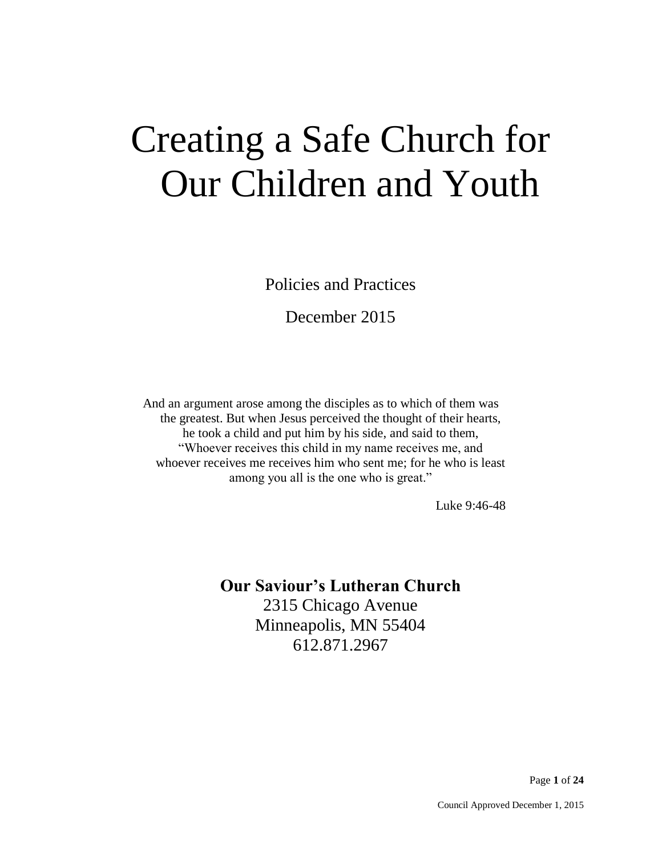# Creating a Safe Church for Our Children and Youth

Policies and Practices

December 2015

And an argument arose among the disciples as to which of them was the greatest. But when Jesus perceived the thought of their hearts, he took a child and put him by his side, and said to them, "Whoever receives this child in my name receives me, and whoever receives me receives him who sent me; for he who is least among you all is the one who is great."

Luke 9:46-48

# **Our Saviour's Lutheran Church**

2315 Chicago Avenue Minneapolis, MN 55404 612.871.2967

Page **1** of **24**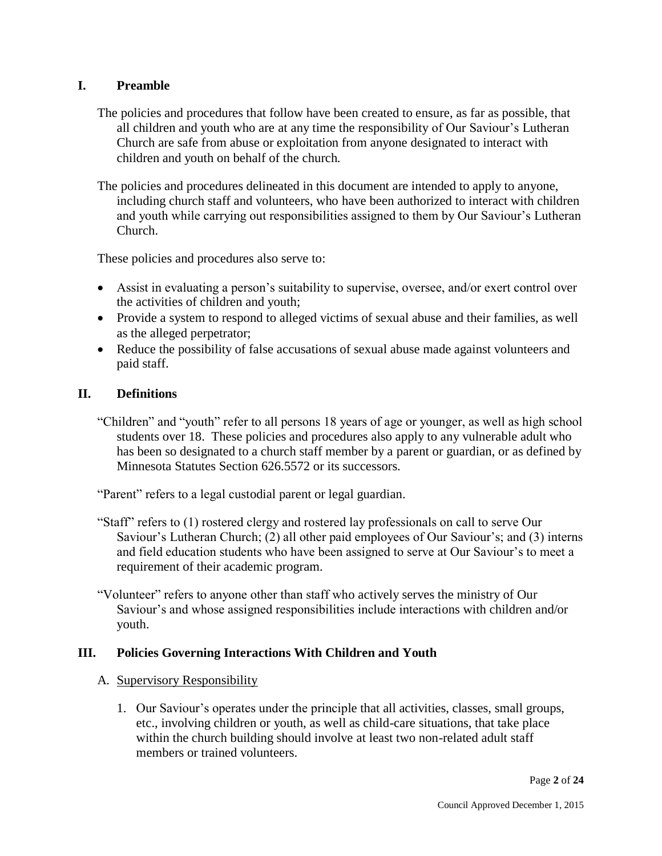## **I. Preamble**

- The policies and procedures that follow have been created to ensure, as far as possible, that all children and youth who are at any time the responsibility of Our Saviour's Lutheran Church are safe from abuse or exploitation from anyone designated to interact with children and youth on behalf of the church.
- The policies and procedures delineated in this document are intended to apply to anyone, including church staff and volunteers, who have been authorized to interact with children and youth while carrying out responsibilities assigned to them by Our Saviour's Lutheran Church.

These policies and procedures also serve to:

- Assist in evaluating a person's suitability to supervise, oversee, and/or exert control over the activities of children and youth;
- Provide a system to respond to alleged victims of sexual abuse and their families, as well as the alleged perpetrator;
- Reduce the possibility of false accusations of sexual abuse made against volunteers and paid staff.

## **II. Definitions**

"Children" and "youth" refer to all persons 18 years of age or younger, as well as high school students over 18. These policies and procedures also apply to any vulnerable adult who has been so designated to a church staff member by a parent or guardian, or as defined by Minnesota Statutes Section 626.5572 or its successors.

"Parent" refers to a legal custodial parent or legal guardian.

"Staff" refers to (1) rostered clergy and rostered lay professionals on call to serve Our Saviour's Lutheran Church; (2) all other paid employees of Our Saviour's; and (3) interns and field education students who have been assigned to serve at Our Saviour's to meet a requirement of their academic program.

"Volunteer" refers to anyone other than staff who actively serves the ministry of Our Saviour's and whose assigned responsibilities include interactions with children and/or youth.

## **III. Policies Governing Interactions With Children and Youth**

#### A. Supervisory Responsibility

1. Our Saviour's operates under the principle that all activities, classes, small groups, etc., involving children or youth, as well as child-care situations, that take place within the church building should involve at least two non-related adult staff members or trained volunteers.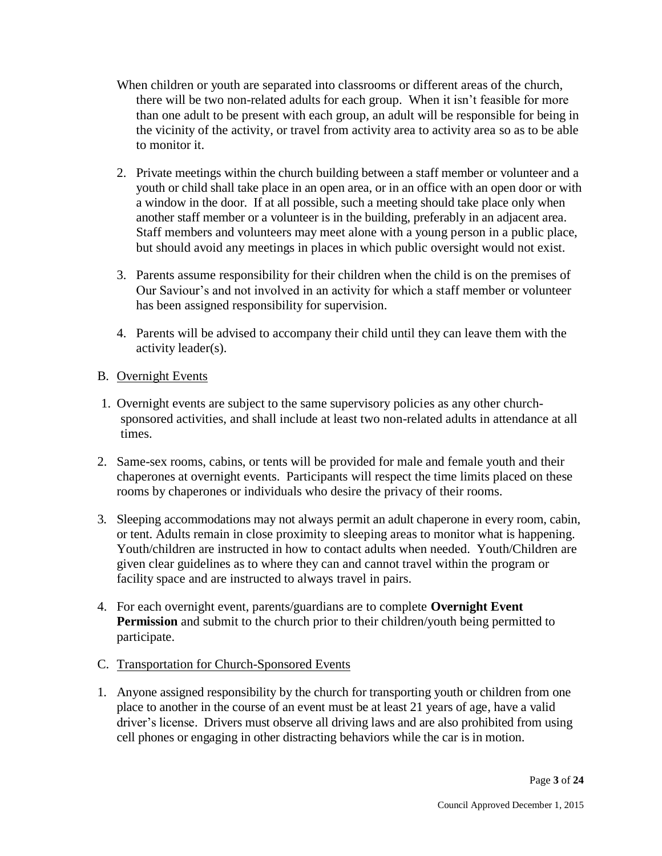- When children or youth are separated into classrooms or different areas of the church, there will be two non-related adults for each group. When it isn't feasible for more than one adult to be present with each group, an adult will be responsible for being in the vicinity of the activity, or travel from activity area to activity area so as to be able to monitor it.
- 2. Private meetings within the church building between a staff member or volunteer and a youth or child shall take place in an open area, or in an office with an open door or with a window in the door. If at all possible, such a meeting should take place only when another staff member or a volunteer is in the building, preferably in an adjacent area. Staff members and volunteers may meet alone with a young person in a public place, but should avoid any meetings in places in which public oversight would not exist.
- 3. Parents assume responsibility for their children when the child is on the premises of Our Saviour's and not involved in an activity for which a staff member or volunteer has been assigned responsibility for supervision.
- 4. Parents will be advised to accompany their child until they can leave them with the activity leader(s).

## B. Overnight Events

- 1. Overnight events are subject to the same supervisory policies as any other churchsponsored activities, and shall include at least two non-related adults in attendance at all times.
- 2. Same-sex rooms, cabins, or tents will be provided for male and female youth and their chaperones at overnight events. Participants will respect the time limits placed on these rooms by chaperones or individuals who desire the privacy of their rooms.
- 3. Sleeping accommodations may not always permit an adult chaperone in every room, cabin, or tent. Adults remain in close proximity to sleeping areas to monitor what is happening. Youth/children are instructed in how to contact adults when needed. Youth/Children are given clear guidelines as to where they can and cannot travel within the program or facility space and are instructed to always travel in pairs.
- 4. For each overnight event, parents/guardians are to complete **Overnight Event Permission** and submit to the church prior to their children/youth being permitted to participate.
- C. Transportation for Church-Sponsored Events
- 1. Anyone assigned responsibility by the church for transporting youth or children from one place to another in the course of an event must be at least 21 years of age, have a valid driver's license. Drivers must observe all driving laws and are also prohibited from using cell phones or engaging in other distracting behaviors while the car is in motion.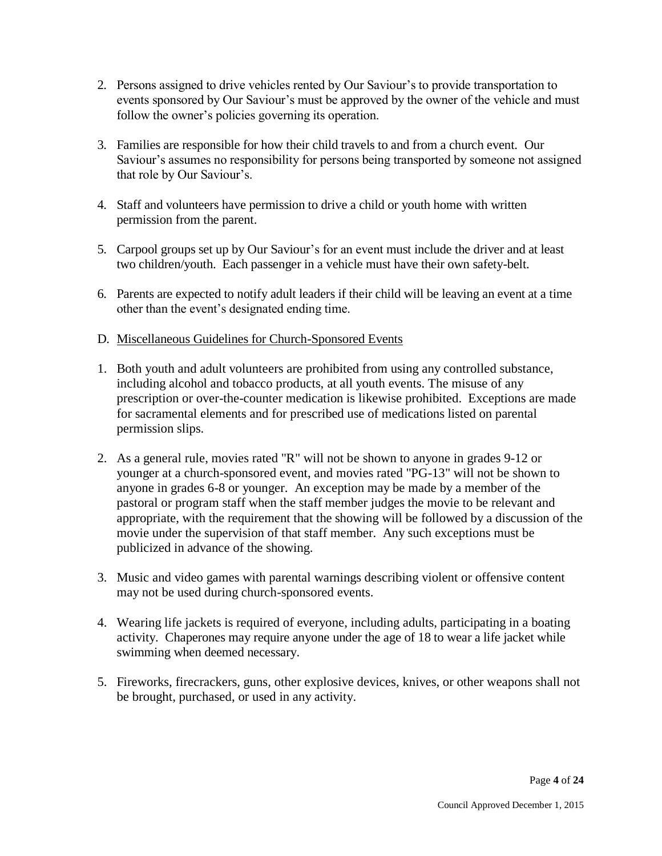- 2. Persons assigned to drive vehicles rented by Our Saviour's to provide transportation to events sponsored by Our Saviour's must be approved by the owner of the vehicle and must follow the owner's policies governing its operation.
- 3. Families are responsible for how their child travels to and from a church event. Our Saviour's assumes no responsibility for persons being transported by someone not assigned that role by Our Saviour's.
- 4. Staff and volunteers have permission to drive a child or youth home with written permission from the parent.
- 5. Carpool groups set up by Our Saviour's for an event must include the driver and at least two children/youth. Each passenger in a vehicle must have their own safety-belt.
- 6. Parents are expected to notify adult leaders if their child will be leaving an event at a time other than the event's designated ending time.
- D. Miscellaneous Guidelines for Church-Sponsored Events
- 1. Both youth and adult volunteers are prohibited from using any controlled substance, including alcohol and tobacco products, at all youth events. The misuse of any prescription or over-the-counter medication is likewise prohibited. Exceptions are made for sacramental elements and for prescribed use of medications listed on parental permission slips.
- 2. As a general rule, movies rated "R" will not be shown to anyone in grades 9-12 or younger at a church-sponsored event, and movies rated "PG-13" will not be shown to anyone in grades 6-8 or younger. An exception may be made by a member of the pastoral or program staff when the staff member judges the movie to be relevant and appropriate, with the requirement that the showing will be followed by a discussion of the movie under the supervision of that staff member. Any such exceptions must be publicized in advance of the showing.
- 3. Music and video games with parental warnings describing violent or offensive content may not be used during church-sponsored events.
- 4. Wearing life jackets is required of everyone, including adults, participating in a boating activity. Chaperones may require anyone under the age of 18 to wear a life jacket while swimming when deemed necessary.
- 5. Fireworks, firecrackers, guns, other explosive devices, knives, or other weapons shall not be brought, purchased, or used in any activity.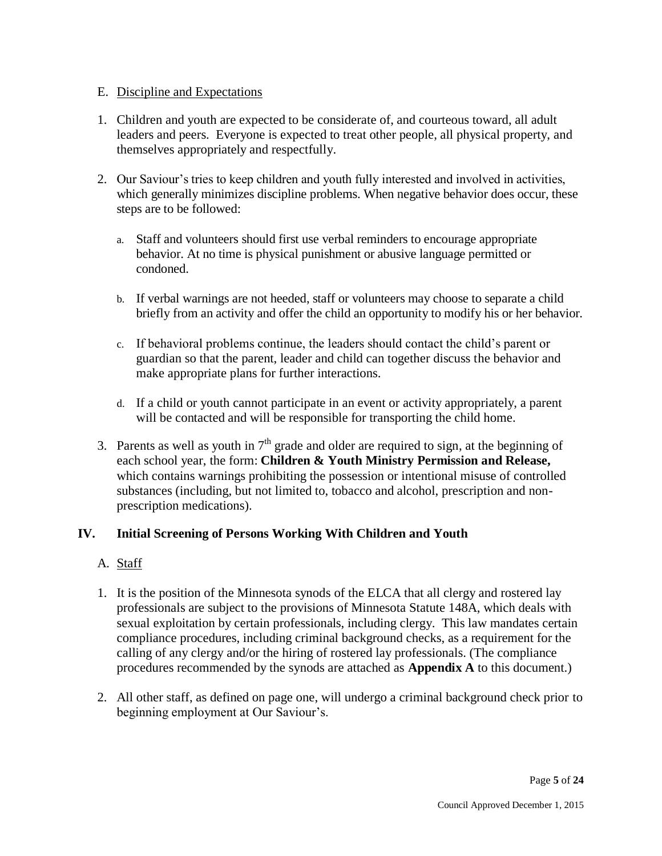## E. Discipline and Expectations

- 1. Children and youth are expected to be considerate of, and courteous toward, all adult leaders and peers. Everyone is expected to treat other people, all physical property, and themselves appropriately and respectfully.
- 2. Our Saviour's tries to keep children and youth fully interested and involved in activities, which generally minimizes discipline problems. When negative behavior does occur, these steps are to be followed:
	- a. Staff and volunteers should first use verbal reminders to encourage appropriate behavior. At no time is physical punishment or abusive language permitted or condoned.
	- b. If verbal warnings are not heeded, staff or volunteers may choose to separate a child briefly from an activity and offer the child an opportunity to modify his or her behavior.
	- c. If behavioral problems continue, the leaders should contact the child's parent or guardian so that the parent, leader and child can together discuss the behavior and make appropriate plans for further interactions.
	- d. If a child or youth cannot participate in an event or activity appropriately, a parent will be contacted and will be responsible for transporting the child home.
- 3. Parents as well as youth in  $7<sup>th</sup>$  grade and older are required to sign, at the beginning of each school year, the form: **Children & Youth Ministry Permission and Release,** which contains warnings prohibiting the possession or intentional misuse of controlled substances (including, but not limited to, tobacco and alcohol, prescription and nonprescription medications).

## **IV. Initial Screening of Persons Working With Children and Youth**

## A. Staff

- 1. It is the position of the Minnesota synods of the ELCA that all clergy and rostered lay professionals are subject to the provisions of Minnesota Statute 148A, which deals with sexual exploitation by certain professionals, including clergy. This law mandates certain compliance procedures, including criminal background checks, as a requirement for the calling of any clergy and/or the hiring of rostered lay professionals. (The compliance procedures recommended by the synods are attached as **Appendix A** to this document.)
- 2. All other staff, as defined on page one, will undergo a criminal background check prior to beginning employment at Our Saviour's.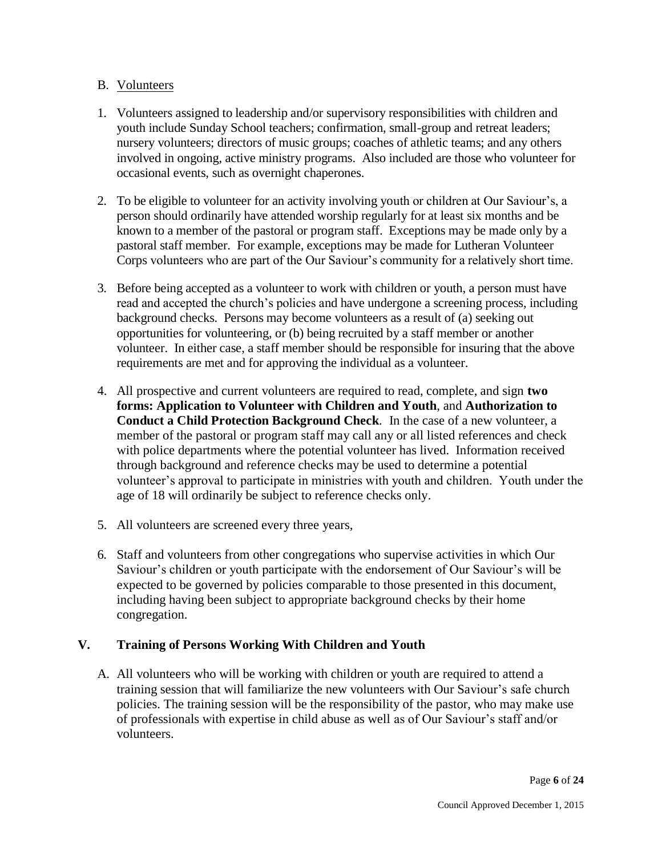### B. Volunteers

- 1. Volunteers assigned to leadership and/or supervisory responsibilities with children and youth include Sunday School teachers; confirmation, small-group and retreat leaders; nursery volunteers; directors of music groups; coaches of athletic teams; and any others involved in ongoing, active ministry programs. Also included are those who volunteer for occasional events, such as overnight chaperones.
- 2. To be eligible to volunteer for an activity involving youth or children at Our Saviour's, a person should ordinarily have attended worship regularly for at least six months and be known to a member of the pastoral or program staff. Exceptions may be made only by a pastoral staff member. For example, exceptions may be made for Lutheran Volunteer Corps volunteers who are part of the Our Saviour's community for a relatively short time.
- 3. Before being accepted as a volunteer to work with children or youth, a person must have read and accepted the church's policies and have undergone a screening process, including background checks. Persons may become volunteers as a result of (a) seeking out opportunities for volunteering, or (b) being recruited by a staff member or another volunteer. In either case, a staff member should be responsible for insuring that the above requirements are met and for approving the individual as a volunteer.
- 4. All prospective and current volunteers are required to read, complete, and sign **two forms: Application to Volunteer with Children and Youth**, and **Authorization to Conduct a Child Protection Background Check***.* In the case of a new volunteer, a member of the pastoral or program staff may call any or all listed references and check with police departments where the potential volunteer has lived. Information received through background and reference checks may be used to determine a potential volunteer's approval to participate in ministries with youth and children. Youth under the age of 18 will ordinarily be subject to reference checks only.
- 5. All volunteers are screened every three years,
- 6. Staff and volunteers from other congregations who supervise activities in which Our Saviour's children or youth participate with the endorsement of Our Saviour's will be expected to be governed by policies comparable to those presented in this document, including having been subject to appropriate background checks by their home congregation.

## **V. Training of Persons Working With Children and Youth**

A. All volunteers who will be working with children or youth are required to attend a training session that will familiarize the new volunteers with Our Saviour's safe church policies. The training session will be the responsibility of the pastor, who may make use of professionals with expertise in child abuse as well as of Our Saviour's staff and/or volunteers.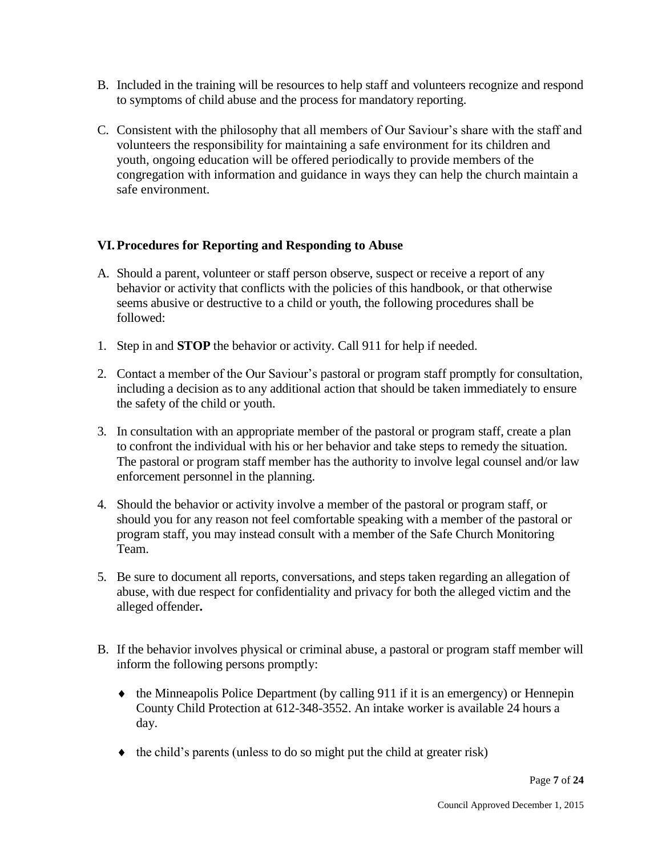- B. Included in the training will be resources to help staff and volunteers recognize and respond to symptoms of child abuse and the process for mandatory reporting.
- C. Consistent with the philosophy that all members of Our Saviour's share with the staff and volunteers the responsibility for maintaining a safe environment for its children and youth, ongoing education will be offered periodically to provide members of the congregation with information and guidance in ways they can help the church maintain a safe environment.

## **VI.Procedures for Reporting and Responding to Abuse**

- A. Should a parent, volunteer or staff person observe, suspect or receive a report of any behavior or activity that conflicts with the policies of this handbook, or that otherwise seems abusive or destructive to a child or youth, the following procedures shall be followed:
- 1. Step in and **STOP** the behavior or activity. Call 911 for help if needed.
- 2. Contact a member of the Our Saviour's pastoral or program staff promptly for consultation, including a decision as to any additional action that should be taken immediately to ensure the safety of the child or youth.
- 3. In consultation with an appropriate member of the pastoral or program staff, create a plan to confront the individual with his or her behavior and take steps to remedy the situation. The pastoral or program staff member has the authority to involve legal counsel and/or law enforcement personnel in the planning.
- 4. Should the behavior or activity involve a member of the pastoral or program staff, or should you for any reason not feel comfortable speaking with a member of the pastoral or program staff, you may instead consult with a member of the Safe Church Monitoring Team.
- 5. Be sure to document all reports, conversations, and steps taken regarding an allegation of abuse, with due respect for confidentiality and privacy for both the alleged victim and the alleged offender**.**
- B. If the behavior involves physical or criminal abuse, a pastoral or program staff member will inform the following persons promptly:
	- the Minneapolis Police Department (by calling 911 if it is an emergency) or Hennepin County Child Protection at 612-348-3552. An intake worker is available 24 hours a day.
	- $\bullet$  the child's parents (unless to do so might put the child at greater risk)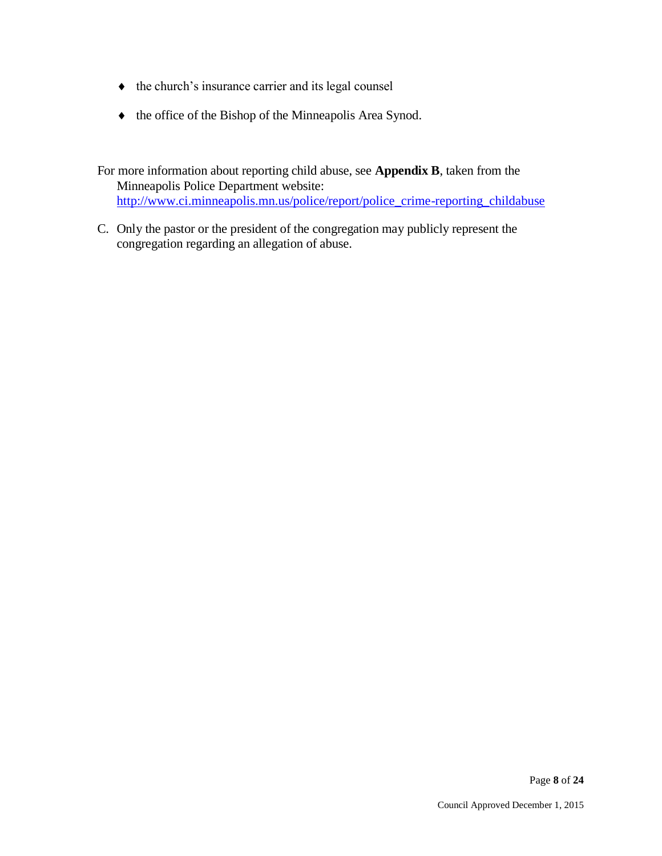- $\bullet$  the church's insurance carrier and its legal counsel
- $\bullet$  the office of the Bishop of the Minneapolis Area Synod.

For more information about reporting child abuse, see **Appendix B**, taken from the Minneapolis Police Department website: [http://www.ci.minneapolis.mn.us/police/report/police\\_crime-reporting\\_childabuse](http://www.ci.minneapolis.mn.us/police/report/police_crime-reporting_childabuse)

C. Only the pastor or the president of the congregation may publicly represent the congregation regarding an allegation of abuse.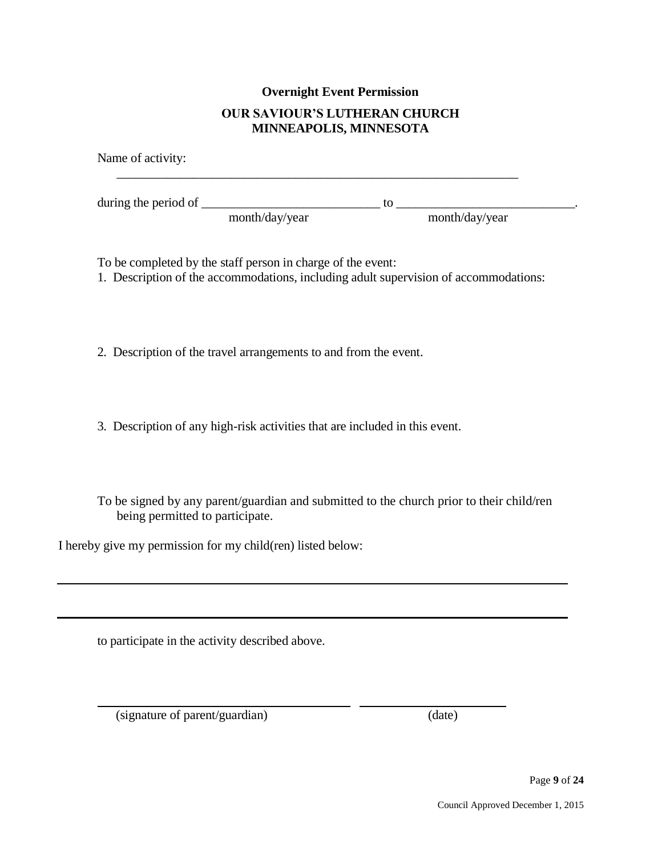# **Overnight Event Permission OUR SAVIOUR'S LUTHERAN CHURCH MINNEAPOLIS, MINNESOTA**

| Name of activity:    |                |    |                |  |
|----------------------|----------------|----|----------------|--|
| during the period of |                | tΩ |                |  |
|                      | month/day/year |    | month/day/year |  |

To be completed by the staff person in charge of the event:

1. Description of the accommodations, including adult supervision of accommodations:

2. Description of the travel arrangements to and from the event.

3. Description of any high-risk activities that are included in this event.

To be signed by any parent/guardian and submitted to the church prior to their child/ren being permitted to participate.

l,

I hereby give my permission for my child(ren) listed below:

to participate in the activity described above.

(signature of parent/guardian) (date)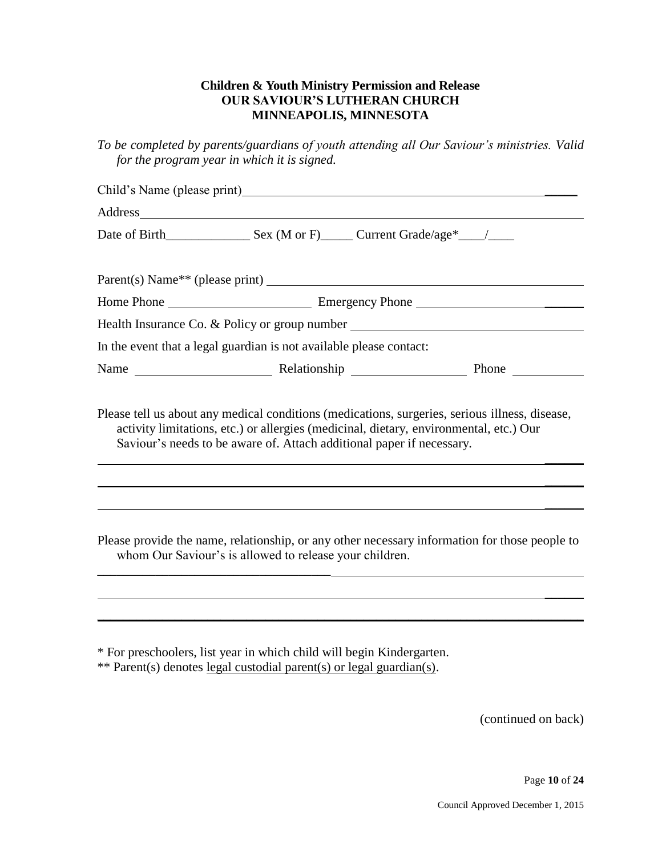#### **Children & Youth Ministry Permission and Release OUR SAVIOUR'S LUTHERAN CHURCH MINNEAPOLIS, MINNESOTA**

*To be completed by parents/guardians of youth attending all Our Saviour's ministries. Valid for the program year in which it is signed.*

| Child's Name (please print)<br><u>Child's Name</u> (please print)                                                                                                                                                                                                 |  |  |
|-------------------------------------------------------------------------------------------------------------------------------------------------------------------------------------------------------------------------------------------------------------------|--|--|
| Address and the contract of the contract of the contract of the contract of the contract of the contract of the contract of the contract of the contract of the contract of the contract of the contract of the contract of th                                    |  |  |
|                                                                                                                                                                                                                                                                   |  |  |
| $\text{Parent}(s) \text{ Name}^{**} \text{ (please print)}$                                                                                                                                                                                                       |  |  |
|                                                                                                                                                                                                                                                                   |  |  |
| Health Insurance Co. & Policy or group number __________________________________                                                                                                                                                                                  |  |  |
| In the event that a legal guardian is not available please contact:                                                                                                                                                                                               |  |  |
|                                                                                                                                                                                                                                                                   |  |  |
| Please tell us about any medical conditions (medications, surgeries, serious illness, disease,<br>activity limitations, etc.) or allergies (medicinal, dietary, environmental, etc.) Our<br>Saviour's needs to be aware of. Attach additional paper if necessary. |  |  |

Please provide the name, relationship, or any other necessary information for those people to whom Our Saviour's is allowed to release your children.

\_\_\_\_\_\_

\_\_\_\_\_\_\_\_\_\_\_\_\_\_\_\_\_\_\_\_\_\_\_\_\_\_\_\_\_\_\_\_\_\_\_\_\_\_\_\_\_\_\_\_\_\_\_\_\_\_\_\_\_\_\_\_\_\_\_\_\_\_\_\_\_\_\_\_\_\_\_\_\_\_\_

\* For preschoolers, list year in which child will begin Kindergarten.

\*\* Parent(s) denotes legal custodial parent(s) or legal guardian(s).

\_\_\_\_\_\_\_\_\_\_\_\_\_\_\_\_\_\_\_\_\_\_\_\_\_\_\_\_\_\_\_\_\_\_\_\_

(continued on back)

 $\overline{\phantom{a}}$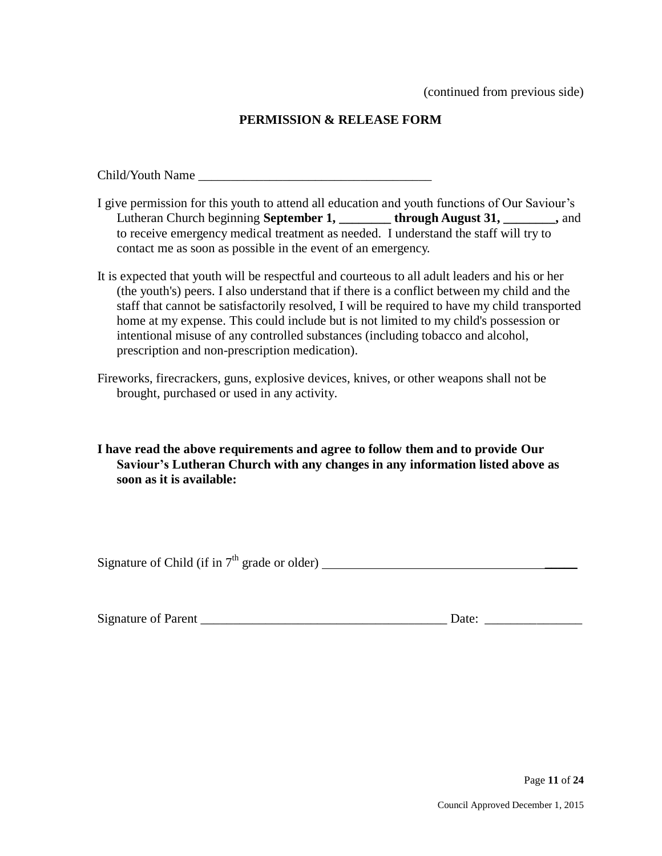(continued from previous side)

## **PERMISSION & RELEASE FORM**

Child/Youth Name \_\_\_\_\_\_\_\_\_\_\_\_\_\_\_\_\_\_\_\_\_\_\_\_\_\_\_\_\_\_\_\_\_\_\_\_

- I give permission for this youth to attend all education and youth functions of Our Saviour's Lutheran Church beginning **September 1, \_\_\_\_\_\_\_\_ through August 31, \_\_\_\_\_\_\_\_,** and to receive emergency medical treatment as needed. I understand the staff will try to contact me as soon as possible in the event of an emergency.
- It is expected that youth will be respectful and courteous to all adult leaders and his or her (the youth's) peers. I also understand that if there is a conflict between my child and the staff that cannot be satisfactorily resolved, I will be required to have my child transported home at my expense. This could include but is not limited to my child's possession or intentional misuse of any controlled substances (including tobacco and alcohol, prescription and non-prescription medication).
- Fireworks, firecrackers, guns, explosive devices, knives, or other weapons shall not be brought, purchased or used in any activity.

**I have read the above requirements and agree to follow them and to provide Our Saviour's Lutheran Church with any changes in any information listed above as soon as it is available:**

Signature of Child (if in  $7<sup>th</sup>$  grade or older)

| <b>Signature of Parent</b> |  |  |
|----------------------------|--|--|
|                            |  |  |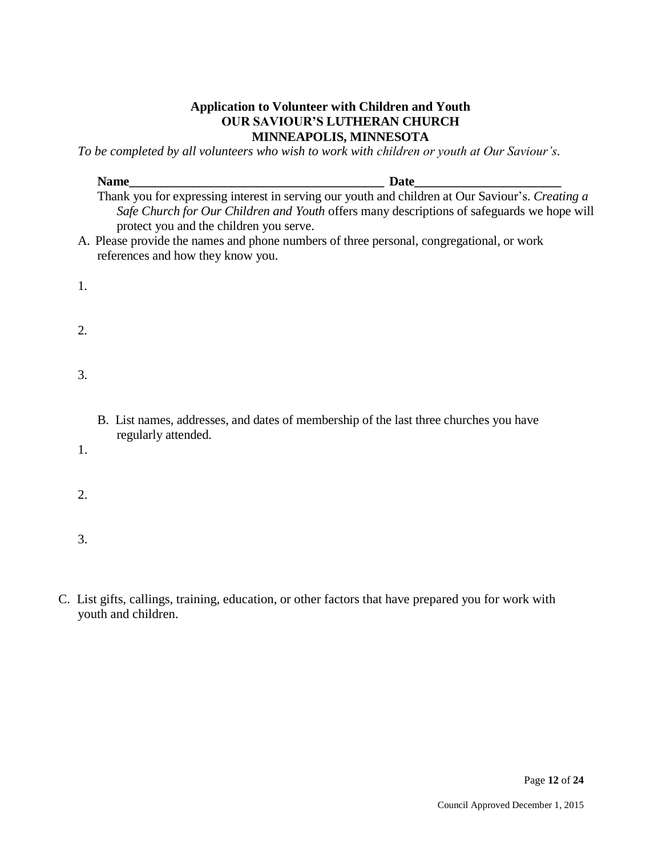## **Application to Volunteer with Children and Youth OUR SAVIOUR'S LUTHERAN CHURCH MINNEAPOLIS, MINNESOTA**

*To be completed by all volunteers who wish to work with children or youth at Our Saviour's.* 

|                  | Name                                    | Date                                                                                                                                                                                           |
|------------------|-----------------------------------------|------------------------------------------------------------------------------------------------------------------------------------------------------------------------------------------------|
|                  | protect you and the children you serve. | Thank you for expressing interest in serving our youth and children at Our Saviour's. Creating a<br>Safe Church for Our Children and Youth offers many descriptions of safeguards we hope will |
|                  | references and how they know you.       | A. Please provide the names and phone numbers of three personal, congregational, or work                                                                                                       |
| 1.               |                                         |                                                                                                                                                                                                |
| $\overline{2}$ . |                                         |                                                                                                                                                                                                |
| 3.               |                                         |                                                                                                                                                                                                |
|                  | regularly attended.                     | B. List names, addresses, and dates of membership of the last three churches you have                                                                                                          |
| 1.               |                                         |                                                                                                                                                                                                |
| 2.               |                                         |                                                                                                                                                                                                |
| 3.               |                                         |                                                                                                                                                                                                |

C. List gifts, callings, training, education, or other factors that have prepared you for work with youth and children.

Page **12** of **24**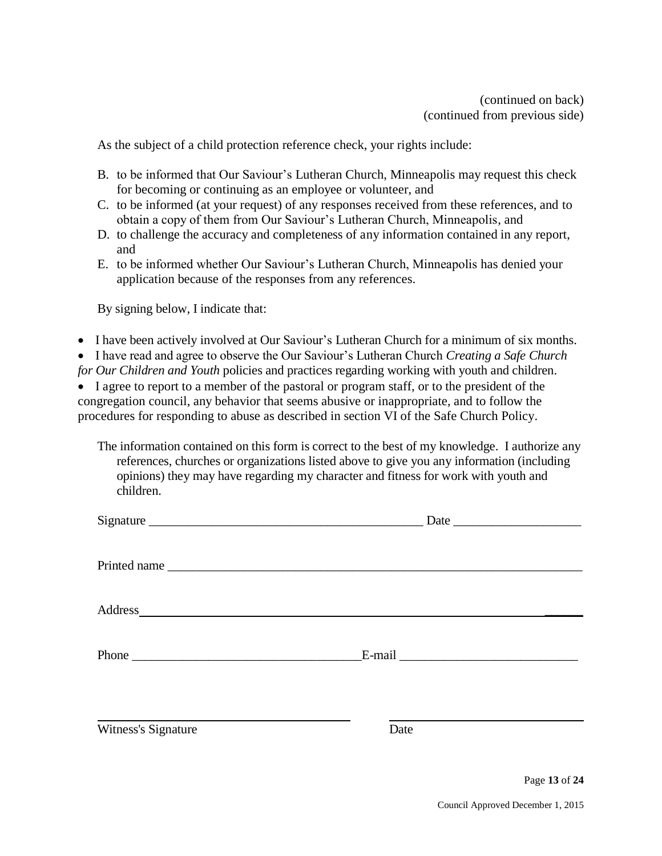As the subject of a child protection reference check, your rights include:

- B. to be informed that Our Saviour's Lutheran Church, Minneapolis may request this check for becoming or continuing as an employee or volunteer, and
- C. to be informed (at your request) of any responses received from these references, and to obtain a copy of them from Our Saviour's Lutheran Church, Minneapolis, and
- D. to challenge the accuracy and completeness of any information contained in any report, and
- E. to be informed whether Our Saviour's Lutheran Church, Minneapolis has denied your application because of the responses from any references.

By signing below, I indicate that:

• I have been actively involved at Our Saviour's Lutheran Church for a minimum of six months.

I have read and agree to observe the Our Saviour's Lutheran Church *Creating a Safe Church* 

*for Our Children and Youth* policies and practices regarding working with youth and children.

 I agree to report to a member of the pastoral or program staff, or to the president of the congregation council, any behavior that seems abusive or inappropriate, and to follow the procedures for responding to abuse as described in section VI of the Safe Church Policy.

The information contained on this form is correct to the best of my knowledge. I authorize any references, churches or organizations listed above to give you any information (including opinions) they may have regarding my character and fitness for work with youth and children.

| Signature                                                                                                                                                                                                                      | Date |  |
|--------------------------------------------------------------------------------------------------------------------------------------------------------------------------------------------------------------------------------|------|--|
| Printed name                                                                                                                                                                                                                   |      |  |
| Address and the state of the state of the state of the state of the state of the state of the state of the state of the state of the state of the state of the state of the state of the state of the state of the state of th |      |  |
|                                                                                                                                                                                                                                |      |  |
| Witness's Signature                                                                                                                                                                                                            | Date |  |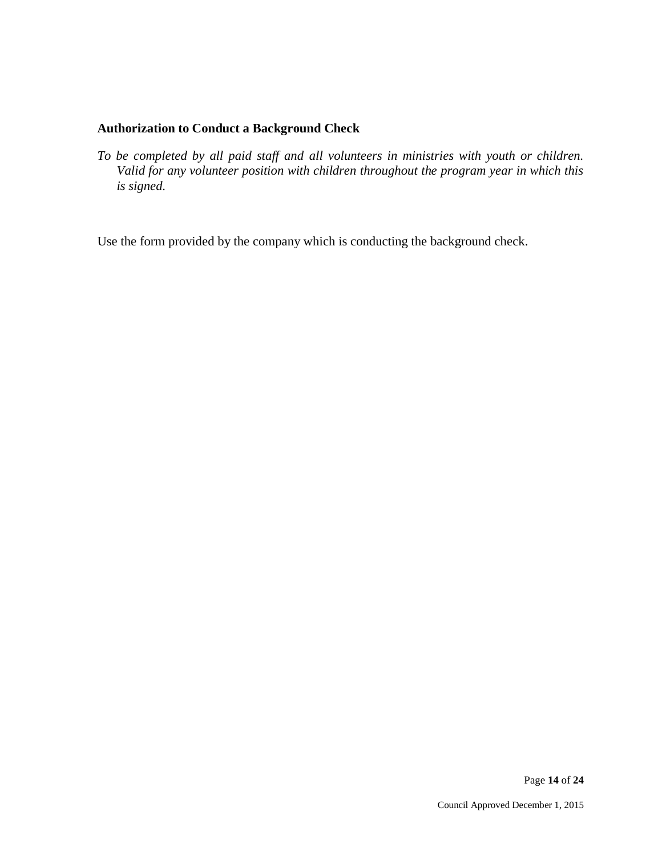## **Authorization to Conduct a Background Check**

*To be completed by all paid staff and all volunteers in ministries with youth or children. Valid for any volunteer position with children throughout the program year in which this is signed.*

Use the form provided by the company which is conducting the background check.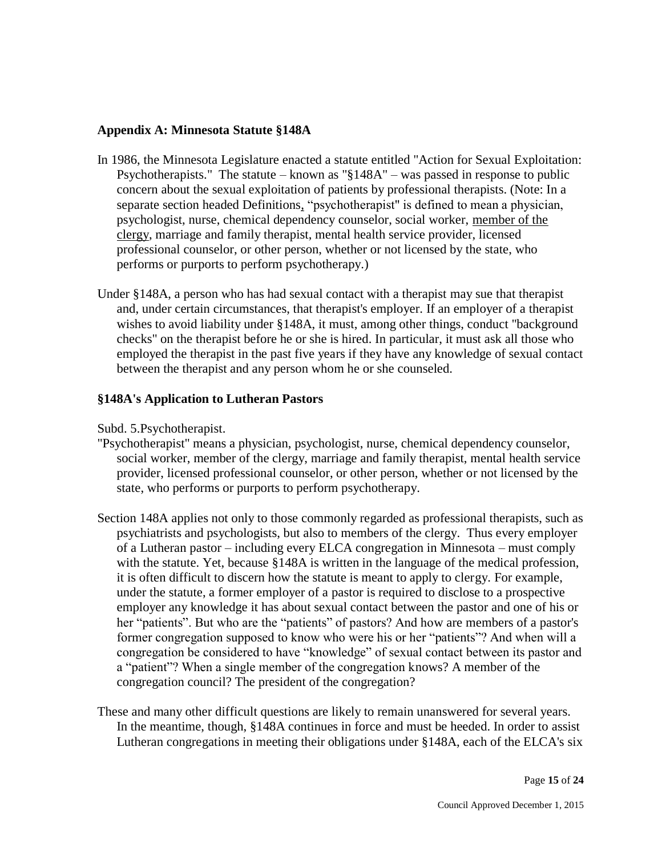#### **Appendix A: Minnesota Statute §148A**

- In 1986, the Minnesota Legislature enacted a statute entitled "Action for Sexual Exploitation: Psychotherapists." The statute – known as "§148A" – was passed in response to public concern about the sexual exploitation of patients by professional therapists. (Note: In a separate section headed Definitions, "psychotherapist" is defined to mean a physician, psychologist, nurse, chemical dependency counselor, social worker, member of the clergy, marriage and family therapist, mental health service provider, licensed professional counselor, or other person, whether or not licensed by the state, who performs or purports to perform psychotherapy.)
- Under §148A, a person who has had sexual contact with a therapist may sue that therapist and, under certain circumstances, that therapist's employer. If an employer of a therapist wishes to avoid liability under §148A, it must, among other things, conduct "background checks" on the therapist before he or she is hired. In particular, it must ask all those who employed the therapist in the past five years if they have any knowledge of sexual contact between the therapist and any person whom he or she counseled.

## **§148A's Application to Lutheran Pastors**

Subd. 5.Psychotherapist.

- "Psychotherapist" means a physician, psychologist, nurse, chemical dependency counselor, social worker, member of the clergy, marriage and family therapist, mental health service provider, licensed professional counselor, or other person, whether or not licensed by the state, who performs or purports to perform psychotherapy.
- Section 148A applies not only to those commonly regarded as professional therapists, such as psychiatrists and psychologists, but also to members of the clergy. Thus every employer of a Lutheran pastor – including every ELCA congregation in Minnesota – must comply with the statute. Yet, because §148A is written in the language of the medical profession, it is often difficult to discern how the statute is meant to apply to clergy. For example, under the statute, a former employer of a pastor is required to disclose to a prospective employer any knowledge it has about sexual contact between the pastor and one of his or her "patients". But who are the "patients" of pastors? And how are members of a pastor's former congregation supposed to know who were his or her "patients"? And when will a congregation be considered to have "knowledge" of sexual contact between its pastor and a "patient"? When a single member of the congregation knows? A member of the congregation council? The president of the congregation?
- These and many other difficult questions are likely to remain unanswered for several years. In the meantime, though, §148A continues in force and must be heeded. In order to assist Lutheran congregations in meeting their obligations under §148A, each of the ELCA's six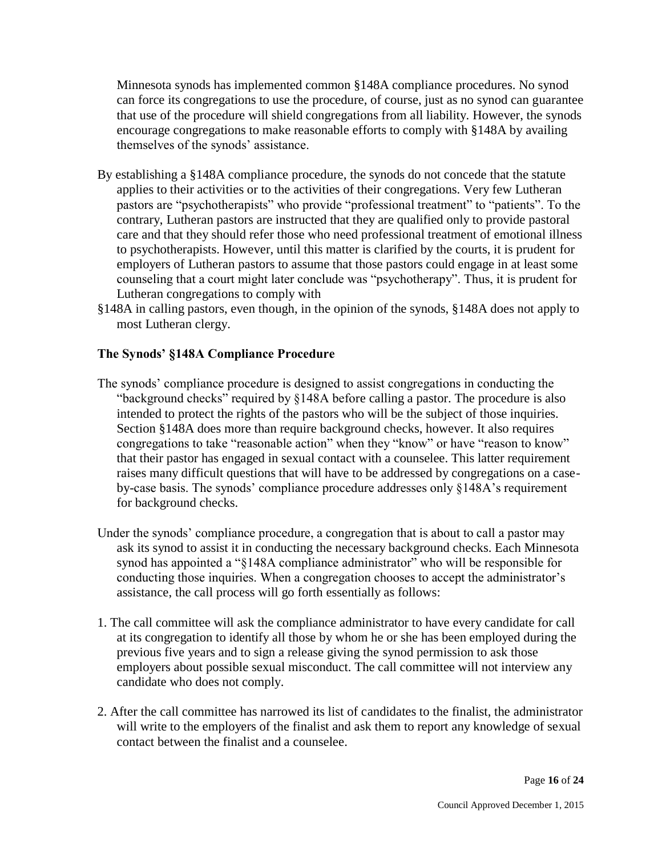Minnesota synods has implemented common §148A compliance procedures. No synod can force its congregations to use the procedure, of course, just as no synod can guarantee that use of the procedure will shield congregations from all liability. However, the synods encourage congregations to make reasonable efforts to comply with §148A by availing themselves of the synods' assistance.

- By establishing a §148A compliance procedure, the synods do not concede that the statute applies to their activities or to the activities of their congregations. Very few Lutheran pastors are "psychotherapists" who provide "professional treatment" to "patients". To the contrary, Lutheran pastors are instructed that they are qualified only to provide pastoral care and that they should refer those who need professional treatment of emotional illness to psychotherapists. However, until this matter is clarified by the courts, it is prudent for employers of Lutheran pastors to assume that those pastors could engage in at least some counseling that a court might later conclude was "psychotherapy". Thus, it is prudent for Lutheran congregations to comply with
- §148A in calling pastors, even though, in the opinion of the synods, §148A does not apply to most Lutheran clergy.

## **The Synods' §148A Compliance Procedure**

- The synods' compliance procedure is designed to assist congregations in conducting the "background checks" required by §148A before calling a pastor. The procedure is also intended to protect the rights of the pastors who will be the subject of those inquiries. Section §148A does more than require background checks, however. It also requires congregations to take "reasonable action" when they "know" or have "reason to know" that their pastor has engaged in sexual contact with a counselee. This latter requirement raises many difficult questions that will have to be addressed by congregations on a caseby-case basis. The synods' compliance procedure addresses only §148A's requirement for background checks.
- Under the synods' compliance procedure, a congregation that is about to call a pastor may ask its synod to assist it in conducting the necessary background checks. Each Minnesota synod has appointed a "§148A compliance administrator" who will be responsible for conducting those inquiries. When a congregation chooses to accept the administrator's assistance, the call process will go forth essentially as follows:
- 1. The call committee will ask the compliance administrator to have every candidate for call at its congregation to identify all those by whom he or she has been employed during the previous five years and to sign a release giving the synod permission to ask those employers about possible sexual misconduct. The call committee will not interview any candidate who does not comply.
- 2. After the call committee has narrowed its list of candidates to the finalist, the administrator will write to the employers of the finalist and ask them to report any knowledge of sexual contact between the finalist and a counselee.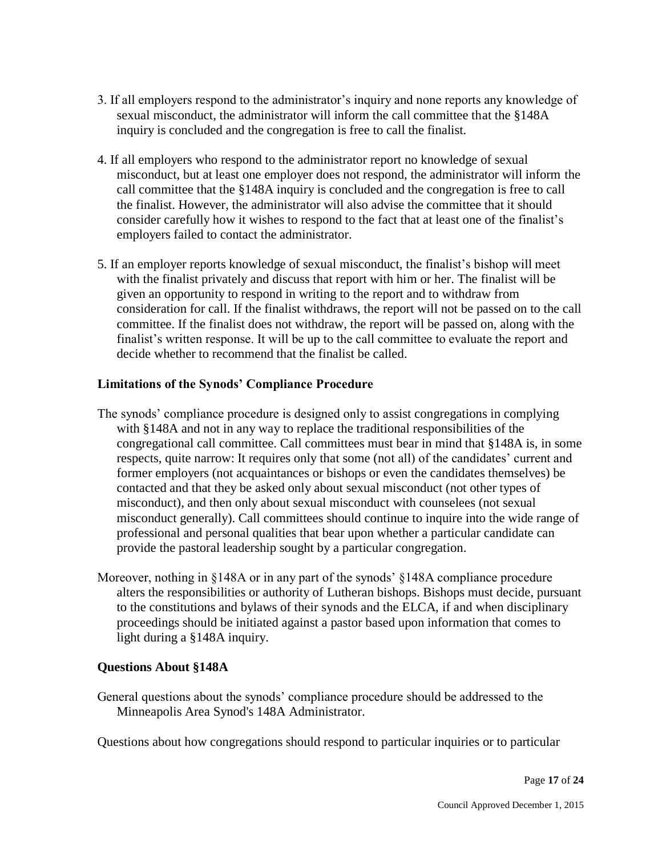- 3. If all employers respond to the administrator's inquiry and none reports any knowledge of sexual misconduct, the administrator will inform the call committee that the §148A inquiry is concluded and the congregation is free to call the finalist.
- 4. If all employers who respond to the administrator report no knowledge of sexual misconduct, but at least one employer does not respond, the administrator will inform the call committee that the §148A inquiry is concluded and the congregation is free to call the finalist. However, the administrator will also advise the committee that it should consider carefully how it wishes to respond to the fact that at least one of the finalist's employers failed to contact the administrator.
- 5. If an employer reports knowledge of sexual misconduct, the finalist's bishop will meet with the finalist privately and discuss that report with him or her. The finalist will be given an opportunity to respond in writing to the report and to withdraw from consideration for call. If the finalist withdraws, the report will not be passed on to the call committee. If the finalist does not withdraw, the report will be passed on, along with the finalist's written response. It will be up to the call committee to evaluate the report and decide whether to recommend that the finalist be called.

## **Limitations of the Synods' Compliance Procedure**

- The synods' compliance procedure is designed only to assist congregations in complying with §148A and not in any way to replace the traditional responsibilities of the congregational call committee. Call committees must bear in mind that §148A is, in some respects, quite narrow: It requires only that some (not all) of the candidates' current and former employers (not acquaintances or bishops or even the candidates themselves) be contacted and that they be asked only about sexual misconduct (not other types of misconduct), and then only about sexual misconduct with counselees (not sexual misconduct generally). Call committees should continue to inquire into the wide range of professional and personal qualities that bear upon whether a particular candidate can provide the pastoral leadership sought by a particular congregation.
- Moreover, nothing in §148A or in any part of the synods' §148A compliance procedure alters the responsibilities or authority of Lutheran bishops. Bishops must decide, pursuant to the constitutions and bylaws of their synods and the ELCA, if and when disciplinary proceedings should be initiated against a pastor based upon information that comes to light during a §148A inquiry.

#### **Questions About §148A**

General questions about the synods' compliance procedure should be addressed to the Minneapolis Area Synod's 148A Administrator.

Questions about how congregations should respond to particular inquiries or to particular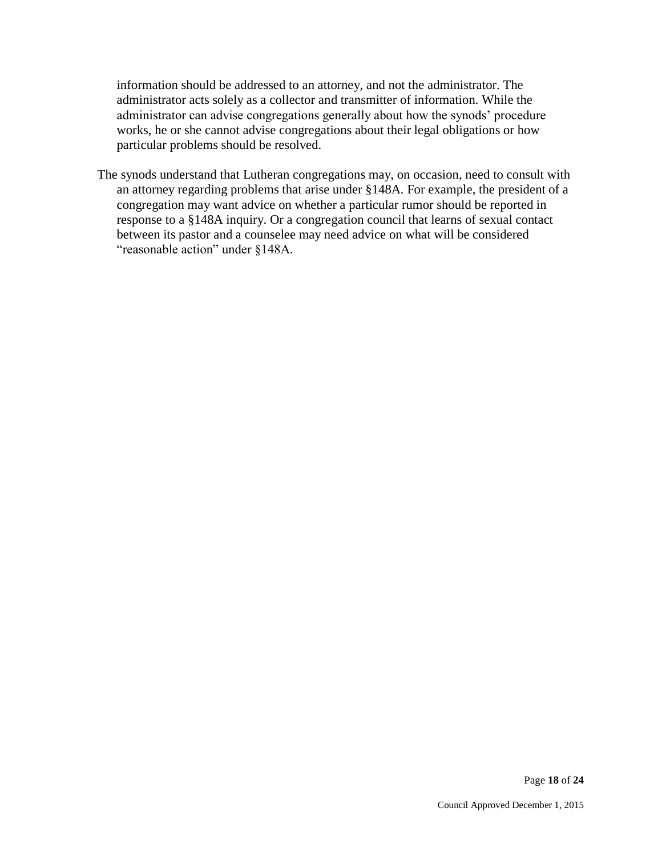information should be addressed to an attorney, and not the administrator. The administrator acts solely as a collector and transmitter of information. While the administrator can advise congregations generally about how the synods' procedure works, he or she cannot advise congregations about their legal obligations or how particular problems should be resolved.

The synods understand that Lutheran congregations may, on occasion, need to consult with an attorney regarding problems that arise under §148A. For example, the president of a congregation may want advice on whether a particular rumor should be reported in response to a §148A inquiry. Or a congregation council that learns of sexual contact between its pastor and a counselee may need advice on what will be considered "reasonable action" under §148A.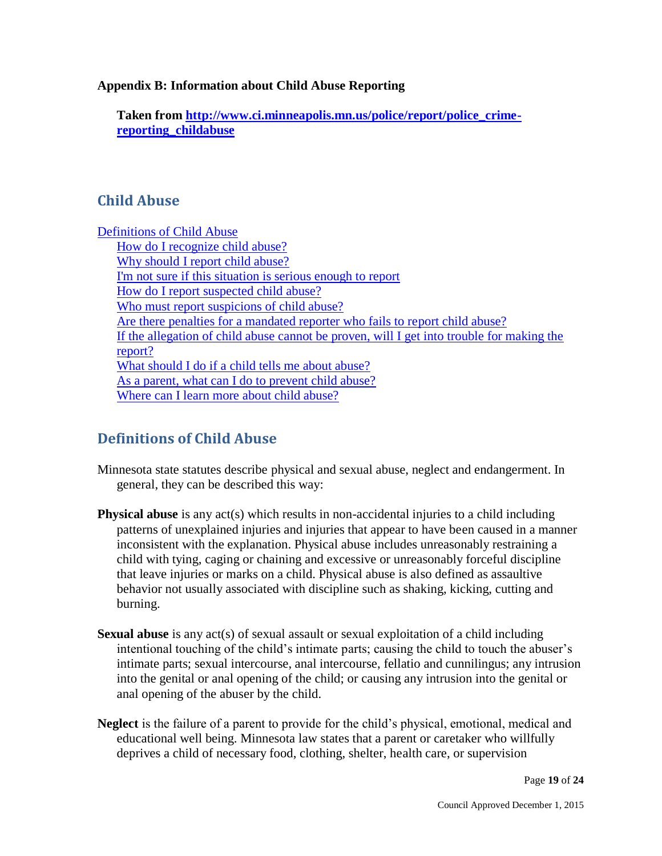### **Appendix B: Information about Child Abuse Reporting**

**Taken from [http://www.ci.minneapolis.mn.us/police/report/police\\_crime](http://www.ci.minneapolis.mn.us/police/report/police_crime-reporting_childabuse)[reporting\\_childabuse](http://www.ci.minneapolis.mn.us/police/report/police_crime-reporting_childabuse)**

# **Child Abuse**

[Definitions of Child Abuse](http://www.ci.minneapolis.mn.us/police/report/police_crime-reporting_childabuse#P3_562) [How do I recognize child abuse?](http://www.ci.minneapolis.mn.us/police/report/police_crime-reporting_childabuse#P10_2701)  [Why should I report child abuse?](http://www.ci.minneapolis.mn.us/police/report/police_crime-reporting_childabuse#P16_4347)  [I'm not sure if this situation is serious enough to report](http://www.ci.minneapolis.mn.us/police/report/police_crime-reporting_childabuse#P19_4781)  [How do I report suspected child abuse?](http://www.ci.minneapolis.mn.us/police/report/police_crime-reporting_childabuse#P22_5072)  [Who must report suspicions of child abuse?](http://www.ci.minneapolis.mn.us/police/report/police_crime-reporting_childabuse#P31_7892)  [Are there penalties for a mandated reporter who fails to report child abuse?](http://www.ci.minneapolis.mn.us/police/report/police_crime-reporting_childabuse#P34_8407)  [If the allegation of child abuse cannot be proven, will I get into trouble for making the](http://www.ci.minneapolis.mn.us/police/report/police_crime-reporting_childabuse#P37_8757)  [report?](http://www.ci.minneapolis.mn.us/police/report/police_crime-reporting_childabuse#P37_8757)  [What should I do if a child tells me about abuse?](http://www.ci.minneapolis.mn.us/police/report/police_crime-reporting_childabuse#P40_9176)  [As a parent, what can I do to prevent child abuse?](http://www.ci.minneapolis.mn.us/police/report/police_crime-reporting_childabuse#P47_9756)  Where can I learn more about child abuse?

# **Definitions of Child Abuse**

- Minnesota state statutes describe physical and sexual abuse, neglect and endangerment. In general, they can be described this way:
- **Physical abuse** is any act(s) which results in non-accidental injuries to a child including patterns of unexplained injuries and injuries that appear to have been caused in a manner inconsistent with the explanation. Physical abuse includes unreasonably restraining a child with tying, caging or chaining and excessive or unreasonably forceful discipline that leave injuries or marks on a child. Physical abuse is also defined as assaultive behavior not usually associated with discipline such as shaking, kicking, cutting and burning.
- **Sexual abuse** is any act(s) of sexual assault or sexual exploitation of a child including intentional touching of the child's intimate parts; causing the child to touch the abuser's intimate parts; sexual intercourse, anal intercourse, fellatio and cunnilingus; any intrusion into the genital or anal opening of the child; or causing any intrusion into the genital or anal opening of the abuser by the child.
- **Neglect** is the failure of a parent to provide for the child's physical, emotional, medical and educational well being. Minnesota law states that a parent or caretaker who willfully deprives a child of necessary food, clothing, shelter, health care, or supervision

Page **19** of **24**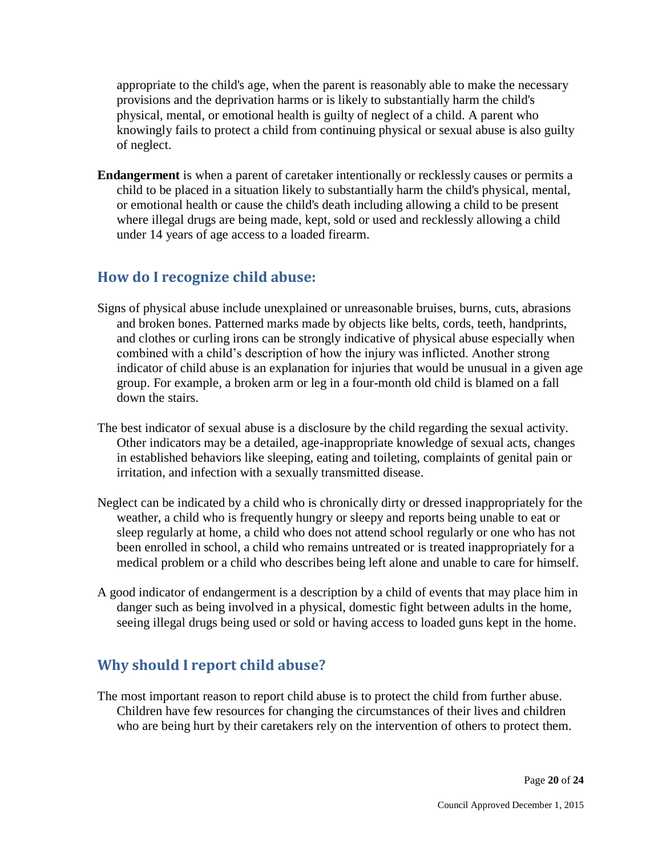appropriate to the child's age, when the parent is reasonably able to make the necessary provisions and the deprivation harms or is likely to substantially harm the child's physical, mental, or emotional health is guilty of neglect of a child. A parent who knowingly fails to protect a child from continuing physical or sexual abuse is also guilty of neglect.

**Endangerment** is when a parent of caretaker intentionally or recklessly causes or permits a child to be placed in a situation likely to substantially harm the child's physical, mental, or emotional health or cause the child's death including allowing a child to be present where illegal drugs are being made, kept, sold or used and recklessly allowing a child under 14 years of age access to a loaded firearm.

# **How do I recognize child abuse:**

- Signs of physical abuse include unexplained or unreasonable bruises, burns, cuts, abrasions and broken bones. Patterned marks made by objects like belts, cords, teeth, handprints, and clothes or curling irons can be strongly indicative of physical abuse especially when combined with a child's description of how the injury was inflicted. Another strong indicator of child abuse is an explanation for injuries that would be unusual in a given age group. For example, a broken arm or leg in a four-month old child is blamed on a fall down the stairs.
- The best indicator of sexual abuse is a disclosure by the child regarding the sexual activity. Other indicators may be a detailed, age-inappropriate knowledge of sexual acts, changes in established behaviors like sleeping, eating and toileting, complaints of genital pain or irritation, and infection with a sexually transmitted disease.
- Neglect can be indicated by a child who is chronically dirty or dressed inappropriately for the weather, a child who is frequently hungry or sleepy and reports being unable to eat or sleep regularly at home, a child who does not attend school regularly or one who has not been enrolled in school, a child who remains untreated or is treated inappropriately for a medical problem or a child who describes being left alone and unable to care for himself.
- A good indicator of endangerment is a description by a child of events that may place him in danger such as being involved in a physical, domestic fight between adults in the home, seeing illegal drugs being used or sold or having access to loaded guns kept in the home.

# **Why should I report child abuse?**

The most important reason to report child abuse is to protect the child from further abuse. Children have few resources for changing the circumstances of their lives and children who are being hurt by their caretakers rely on the intervention of others to protect them.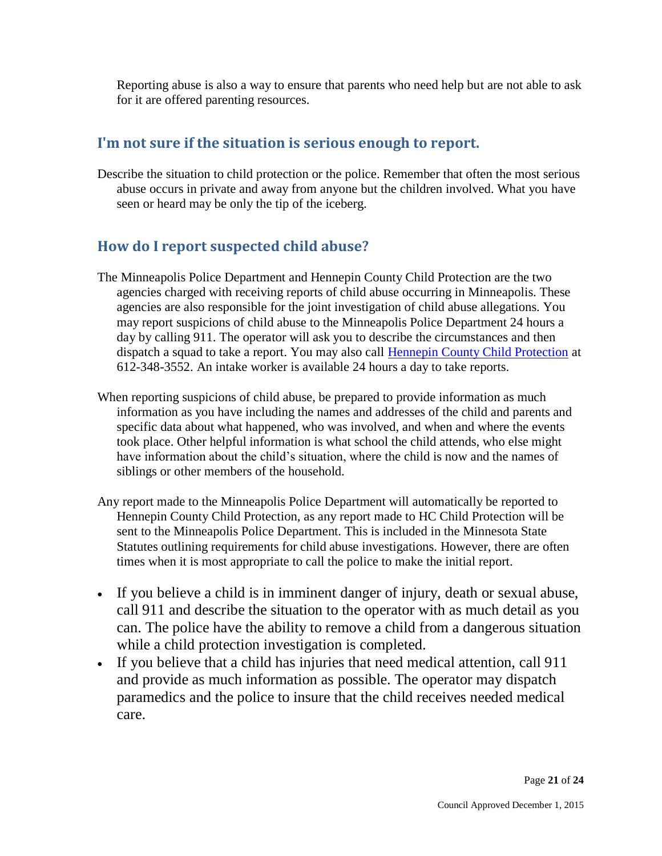Reporting abuse is also a way to ensure that parents who need help but are not able to ask for it are offered parenting resources.

# **I'm not sure if the situation is serious enough to report.**

Describe the situation to child protection or the police. Remember that often the most serious abuse occurs in private and away from anyone but the children involved. What you have seen or heard may be only the tip of the iceberg.

# **How do I report suspected child abuse?**

- The Minneapolis Police Department and Hennepin County Child Protection are the two agencies charged with receiving reports of child abuse occurring in Minneapolis. These agencies are also responsible for the joint investigation of child abuse allegations. You may report suspicions of child abuse to the Minneapolis Police Department 24 hours a day by calling 911. The operator will ask you to describe the circumstances and then dispatch a squad to take a report. You may also call [Hennepin County Child Protection](http://www.hennepin.us/portal/site/HennepinUS/menuitem.b1ab75471750e40fa01dfb47ccf06498/?vgnextoid=f377073467a44210VgnVCM10000049114689RCRD) at 612-348-3552. An intake worker is available 24 hours a day to take reports.
- When reporting suspicions of child abuse, be prepared to provide information as much information as you have including the names and addresses of the child and parents and specific data about what happened, who was involved, and when and where the events took place. Other helpful information is what school the child attends, who else might have information about the child's situation, where the child is now and the names of siblings or other members of the household.
- Any report made to the Minneapolis Police Department will automatically be reported to Hennepin County Child Protection, as any report made to HC Child Protection will be sent to the Minneapolis Police Department. This is included in the Minnesota State Statutes outlining requirements for child abuse investigations. However, there are often times when it is most appropriate to call the police to make the initial report.
- If you believe a child is in imminent danger of injury, death or sexual abuse, call 911 and describe the situation to the operator with as much detail as you can. The police have the ability to remove a child from a dangerous situation while a child protection investigation is completed.
- If you believe that a child has injuries that need medical attention, call 911 and provide as much information as possible. The operator may dispatch paramedics and the police to insure that the child receives needed medical care.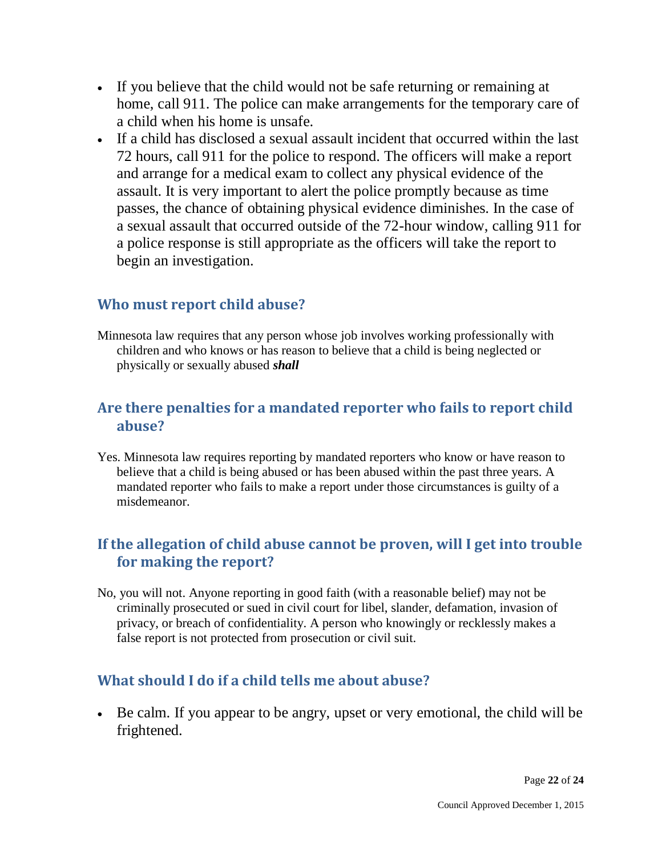- If you believe that the child would not be safe returning or remaining at home, call 911. The police can make arrangements for the temporary care of a child when his home is unsafe.
- If a child has disclosed a sexual assault incident that occurred within the last 72 hours, call 911 for the police to respond. The officers will make a report and arrange for a medical exam to collect any physical evidence of the assault. It is very important to alert the police promptly because as time passes, the chance of obtaining physical evidence diminishes. In the case of a sexual assault that occurred outside of the 72-hour window, calling 911 for a police response is still appropriate as the officers will take the report to begin an investigation.

# **Who must report child abuse?**

Minnesota law requires that any person whose job involves working professionally with children and who knows or has reason to believe that a child is being neglected or physically or sexually abused *shall*

# **Are there penalties for a mandated reporter who fails to report child abuse?**

Yes. Minnesota law requires reporting by mandated reporters who know or have reason to believe that a child is being abused or has been abused within the past three years. A mandated reporter who fails to make a report under those circumstances is guilty of a misdemeanor.

# **If the allegation of child abuse cannot be proven, will I get into trouble for making the report?**

No, you will not. Anyone reporting in good faith (with a reasonable belief) may not be criminally prosecuted or sued in civil court for libel, slander, defamation, invasion of privacy, or breach of confidentiality. A person who knowingly or recklessly makes a false report is not protected from prosecution or civil suit.

# **What should I do if a child tells me about abuse?**

 Be calm. If you appear to be angry, upset or very emotional, the child will be frightened.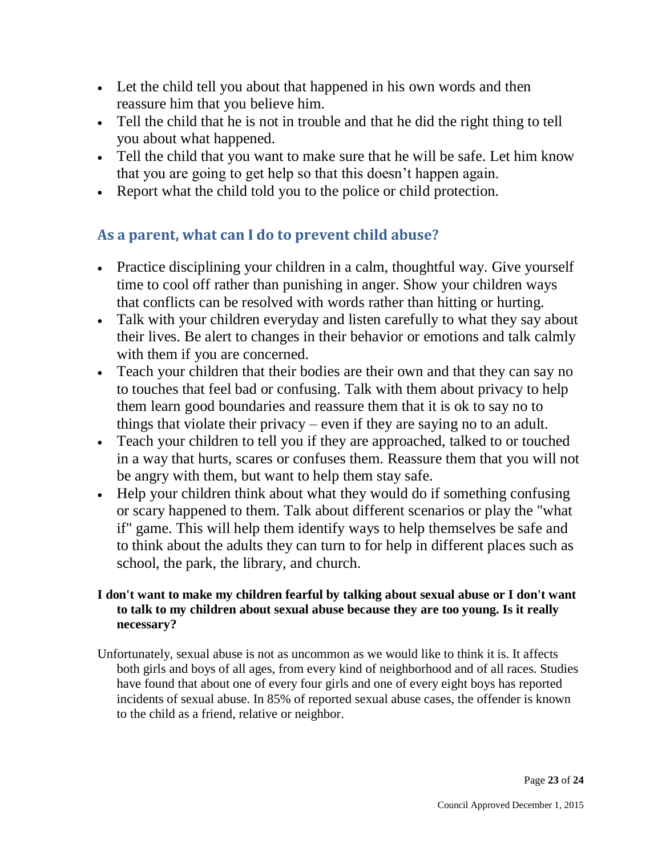- Let the child tell you about that happened in his own words and then reassure him that you believe him.
- Tell the child that he is not in trouble and that he did the right thing to tell you about what happened.
- Tell the child that you want to make sure that he will be safe. Let him know that you are going to get help so that this doesn't happen again.
- Report what the child told you to the police or child protection.

# **As a parent, what can I do to prevent child abuse?**

- Practice disciplining your children in a calm, thoughtful way. Give yourself time to cool off rather than punishing in anger. Show your children ways that conflicts can be resolved with words rather than hitting or hurting.
- Talk with your children everyday and listen carefully to what they say about their lives. Be alert to changes in their behavior or emotions and talk calmly with them if you are concerned.
- Teach your children that their bodies are their own and that they can say no to touches that feel bad or confusing. Talk with them about privacy to help them learn good boundaries and reassure them that it is ok to say no to things that violate their privacy – even if they are saying no to an adult.
- Teach your children to tell you if they are approached, talked to or touched in a way that hurts, scares or confuses them. Reassure them that you will not be angry with them, but want to help them stay safe.
- Help your children think about what they would do if something confusing or scary happened to them. Talk about different scenarios or play the "what if" game. This will help them identify ways to help themselves be safe and to think about the adults they can turn to for help in different places such as school, the park, the library, and church.

## **I don't want to make my children fearful by talking about sexual abuse or I don't want to talk to my children about sexual abuse because they are too young. Is it really necessary?**

Unfortunately, sexual abuse is not as uncommon as we would like to think it is. It affects both girls and boys of all ages, from every kind of neighborhood and of all races. Studies have found that about one of every four girls and one of every eight boys has reported incidents of sexual abuse. In 85% of reported sexual abuse cases, the offender is known to the child as a friend, relative or neighbor.